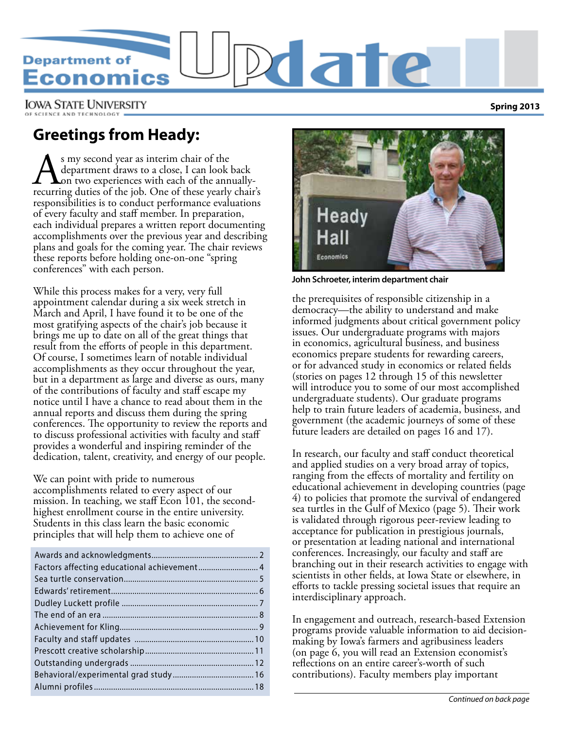# **Department of** conomics

**IOWA STATE UNIVERSITY** 

# **Greetings from Heady:**

As my second year as interim chair of the department draws to a close, I can look back on two experiences with each of the annually-recurring duties of the job. One of these yearly chair's department draws to a close, I can look back on two experiences with each of the annuallyresponsibilities is to conduct performance evaluations of every faculty and staff member. In preparation, each individual prepares a written report documenting accomplishments over the previous year and describing plans and goals for the coming year. The chair reviews these reports before holding one-on-one "spring conferences" with each person.

While this process makes for a very, very full appointment calendar during a six week stretch in March and April, I have found it to be one of the most gratifying aspects of the chair's job because it brings me up to date on all of the great things that result from the efforts of people in this department. Of course, I sometimes learn of notable individual accomplishments as they occur throughout the year, but in a department as large and diverse as ours, many of the contributions of faculty and staff escape my notice until I have a chance to read about them in the annual reports and discuss them during the spring conferences. The opportunity to review the reports and to discuss professional activities with faculty and staff provides a wonderful and inspiring reminder of the dedication, talent, creativity, and energy of our people.

We can point with pride to numerous accomplishments related to every aspect of our mission. In teaching, we staff Econ 101, the secondhighest enrollment course in the entire university. Students in this class learn the basic economic principles that will help them to achieve one of



**John Schroeter, interim department chair**

ate

the prerequisites of responsible citizenship in a democracy—the ability to understand and make informed judgments about critical government policy issues. Our undergraduate programs with majors in economics, agricultural business, and business economics prepare students for rewarding careers, or for advanced study in economics or related fields (stories on pages 12 through 15 of this newsletter will introduce you to some of our most accomplished undergraduate students). Our graduate programs help to train future leaders of academia, business, and government (the academic journeys of some of these future leaders are detailed on pages 16 and 17).

In research, our faculty and staff conduct theoretical and applied studies on a very broad array of topics, ranging from the effects of mortality and fertility on educational achievement in developing countries (page 4) to policies that promote the survival of endangered sea turtles in the Gulf of Mexico (page 5). Their work is validated through rigorous peer-review leading to acceptance for publication in prestigious journals, or presentation at leading national and international conferences. Increasingly, our faculty and staff are branching out in their research activities to engage with scientists in other fields, at Iowa State or elsewhere, in efforts to tackle pressing societal issues that require an interdisciplinary approach.

In engagement and outreach, research-based Extension programs provide valuable information to aid decisionmaking by Iowa's farmers and agribusiness leaders (on page 6, you will read an Extension economist's reflections on an entire career's-worth of such contributions). Faculty members play important

**Spring 2013**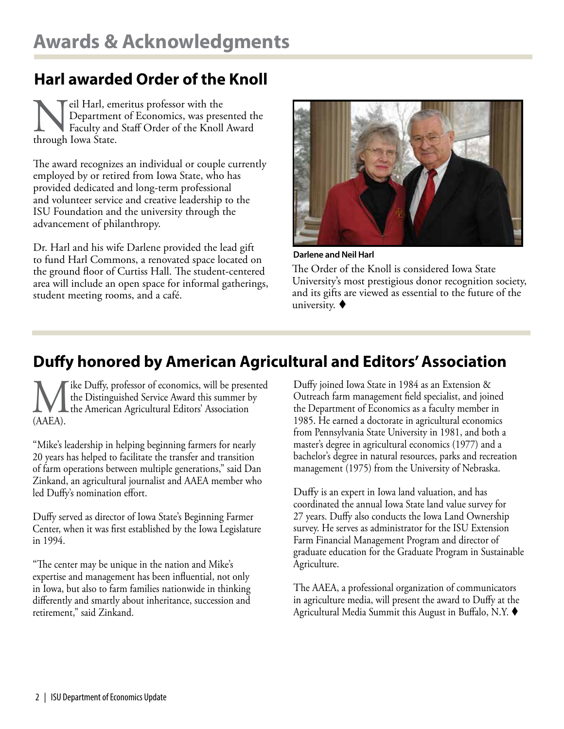# **Harl awarded Order of the Knoll**

Neil Harl, emeritus professor with the<br>Department of Economics, was prese<br>Faculty and Staff Order of the Knoll<br>through Iowa State. Department of Economics, was presented the Faculty and Staff Order of the Knoll Award through Iowa State.

The award recognizes an individual or couple currently employed by or retired from Iowa State, who has provided dedicated and long-term professional and volunteer service and creative leadership to the ISU Foundation and the university through the advancement of philanthropy.

Dr. Harl and his wife Darlene provided the lead gift to fund Harl Commons, a renovated space located on the ground floor of Curtiss Hall. The student-centered area will include an open space for informal gatherings, student meeting rooms, and a café.



**Darlene and Neil Harl**

The Order of the Knoll is considered Iowa State University's most prestigious donor recognition society, and its gifts are viewed as essential to the future of the university.  $\blacklozenge$ 

# **Duffy honored by American Agricultural and Editors' Association**

We Duffy, professor of economics, will be presented<br>the Distinguished Service Award this summer by<br>(AAEA). the Distinguished Service Award this summer by the American Agricultural Editors' Association (AAEA).

"Mike's leadership in helping beginning farmers for nearly 20 years has helped to facilitate the transfer and transition of farm operations between multiple generations," said Dan Zinkand, an agricultural journalist and AAEA member who led Duffy's nomination effort.

Duffy served as director of Iowa State's Beginning Farmer Center, when it was first established by the Iowa Legislature in 1994.

"The center may be unique in the nation and Mike's expertise and management has been influential, not only in Iowa, but also to farm families nationwide in thinking differently and smartly about inheritance, succession and retirement," said Zinkand.

Duffy joined Iowa State in 1984 as an Extension & Outreach farm management field specialist, and joined the Department of Economics as a faculty member in 1985. He earned a doctorate in agricultural economics from Pennsylvania State University in 1981, and both a master's degree in agricultural economics (1977) and a bachelor's degree in natural resources, parks and recreation management (1975) from the University of Nebraska.

Duffy is an expert in Iowa land valuation, and has coordinated the annual Iowa State land value survey for 27 years. Duffy also conducts the Iowa Land Ownership survey. He serves as administrator for the ISU Extension Farm Financial Management Program and director of graduate education for the Graduate Program in Sustainable Agriculture.

The AAEA, a professional organization of communicators in agriculture media, will present the award to Duffy at the Agricultural Media Summit this August in Buffalo, N.Y.  $\blacklozenge$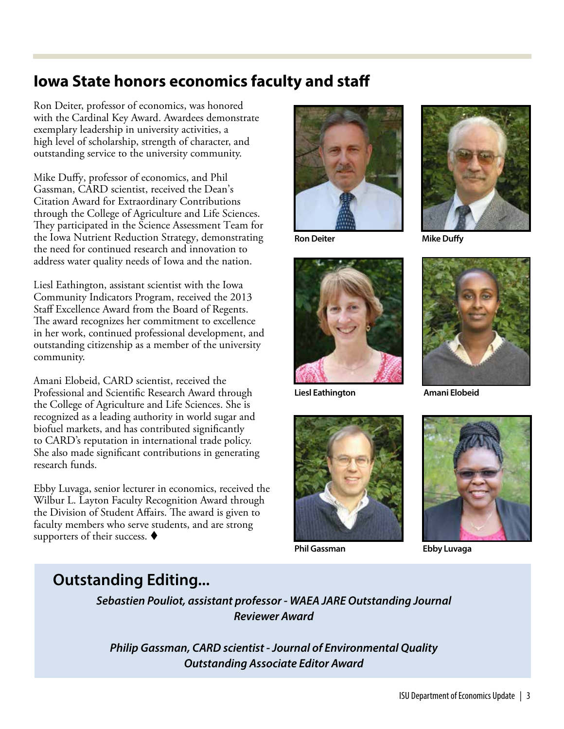### **Iowa State honors economics faculty and staff**

Ron Deiter, professor of economics, was honored with the Cardinal Key Award. Awardees demonstrate exemplary leadership in university activities, a high level of scholarship, strength of character, and outstanding service to the university community.

Mike Duffy, professor of economics, and Phil Gassman, CARD scientist, received the Dean's Citation Award for Extraordinary Contributions through the College of Agriculture and Life Sciences. They participated in the Science Assessment Team for the Iowa Nutrient Reduction Strategy, demonstrating the need for continued research and innovation to address water quality needs of Iowa and the nation.

Liesl Eathington, assistant scientist with the Iowa Community Indicators Program, received the 2013 Staff Excellence Award from the Board of Regents. The award recognizes her commitment to excellence in her work, continued professional development, and outstanding citizenship as a member of the university community.

Amani Elobeid, CARD scientist, received the Professional and Scientific Research Award through the College of Agriculture and Life Sciences. She is recognized as a leading authority in world sugar and biofuel markets, and has contributed significantly to CARD's reputation in international trade policy. She also made significant contributions in generating research funds.

Ebby Luvaga, senior lecturer in economics, received the Wilbur L. Layton Faculty Recognition Award through the Division of Student Affairs. The award is given to faculty members who serve students, and are strong supporters of their success.  $\blacklozenge$ 



**Ron Deiter**



**Liesl Eathington**





**Mike Duffy**



**Amani Elobeid**



**Phil Gassman Ebby Luvaga**

### **Outstanding Editing...**

*Sebastien Pouliot, assistant professor - WAEA JARE Outstanding Journal Reviewer Award*

*Philip Gassman, CARD scientist - Journal of Environmental Quality Outstanding Associate Editor Award*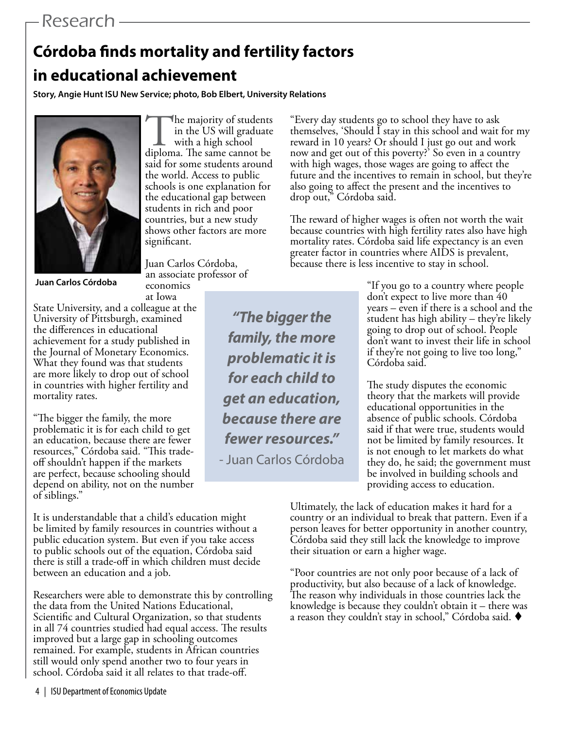# Research

# **Córdoba finds mortality and fertility factors in educational achievement**

**Story, Angie Hunt ISU New Service; photo, Bob Elbert, University Relations**



The majority of students<br>in the US will graduate<br>diploma. The same cannot be in the US will graduate with a high school said for some students around the world. Access to public schools is one explanation for the educational gap between students in rich and poor countries, but a new study shows other factors are more significant.

Juan Carlos Córdoba, an associate professor of

economics

**Juan Carlos Córdoba**

at Iowa State University, and a colleague at the University of Pittsburgh, examined the differences in educational achievement for a study published in the Journal of Monetary Economics. What they found was that students are more likely to drop out of school in countries with higher fertility and mortality rates.

"The bigger the family, the more problematic it is for each child to get an education, because there are fewer resources," Córdoba said. "This tradeoff shouldn't happen if the markets are perfect, because schooling should depend on ability, not on the number of siblings."

It is understandable that a child's education might be limited by family resources in countries without a public education system. But even if you take access to public schools out of the equation, Córdoba said there is still a trade-off in which children must decide between an education and a job.

Researchers were able to demonstrate this by controlling the data from the United Nations Educational, Scientific and Cultural Organization, so that students in all 74 countries studied had equal access. The results improved but a large gap in schooling outcomes remained. For example, students in African countries still would only spend another two to four years in school. Córdoba said it all relates to that trade-off.

"Every day students go to school they have to ask themselves, 'Should I stay in this school and wait for my reward in 10 years? Or should I just go out and work now and get out of this poverty?' So even in a country with high wages, those wages are going to affect the future and the incentives to remain in school, but they're also going to affect the present and the incentives to drop out," Córdoba said.

The reward of higher wages is often not worth the wait because countries with high fertility rates also have high mortality rates. Córdoba said life expectancy is an even greater factor in countries where AIDS is prevalent, because there is less incentive to stay in school.

*"The bigger the family, the more problematic it is for each child to get an education, because there are fewer resources."*  - Juan Carlos Córdoba

"If you go to a country where people don't expect to live more than 40 years – even if there is a school and the student has high ability – they're likely going to drop out of school. People don't want to invest their life in school if they're not going to live too long," Córdoba said.

The study disputes the economic theory that the markets will provide educational opportunities in the absence of public schools. Córdoba said if that were true, students would not be limited by family resources. It is not enough to let markets do what they do, he said; the government must be involved in building schools and providing access to education.

Ultimately, the lack of education makes it hard for a country or an individual to break that pattern. Even if a person leaves for better opportunity in another country, Córdoba said they still lack the knowledge to improve their situation or earn a higher wage.

"Poor countries are not only poor because of a lack of productivity, but also because of a lack of knowledge. The reason why individuals in those countries lack the knowledge is because they couldn't obtain it – there was a reason they couldn't stay in school," Córdoba said.  $\blacklozenge$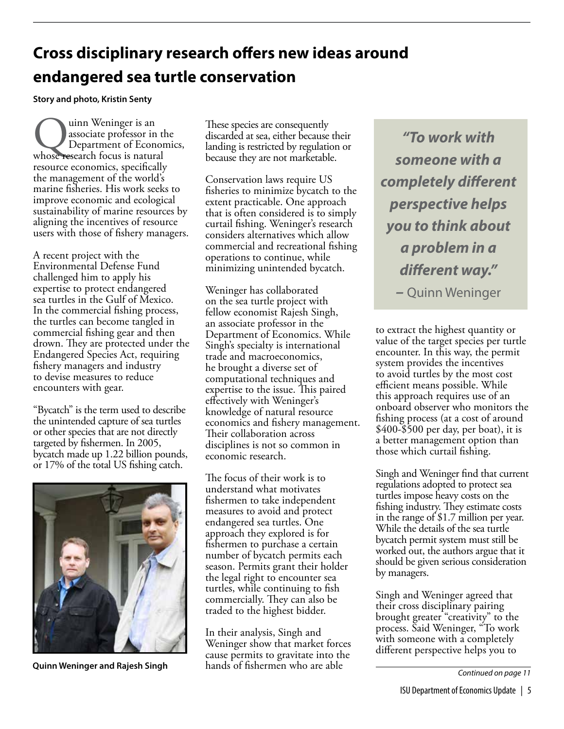# **Cross disciplinary research offers new ideas around endangered sea turtle conservation**

**Story and photo, Kristin Senty**

Quinn Weninger is an associate professor in the Department of Econor whose research focus is natural associate professor in the Department of Economics, resource economics, specifically the management of the world's marine fisheries. His work seeks to improve economic and ecological sustainability of marine resources by aligning the incentives of resource users with those of fishery managers.

A recent project with the Environmental Defense Fund challenged him to apply his expertise to protect endangered sea turtles in the Gulf of Mexico. In the commercial fishing process, the turtles can become tangled in commercial fishing gear and then drown. They are protected under the Endangered Species Act, requiring fishery managers and industry to devise measures to reduce encounters with gear.

"Bycatch" is the term used to describe the unintended capture of sea turtles or other species that are not directly targeted by fishermen. In 2005, bycatch made up 1.22 billion pounds, or 17% of the total US fishing catch.



**Quinn Weninger and Rajesh Singh**

These species are consequently discarded at sea, either because their landing is restricted by regulation or because they are not marketable.

Conservation laws require US fisheries to minimize bycatch to the extent practicable. One approach that is often considered is to simply curtail fishing. Weninger's research considers alternatives which allow commercial and recreational fishing operations to continue, while minimizing unintended bycatch.

Weninger has collaborated on the sea turtle project with fellow economist Rajesh Singh, an associate professor in the Department of Economics. While Singh's specialty is international trade and macroeconomics, he brought a diverse set of computational techniques and expertise to the issue. This paired effectively with Weninger's knowledge of natural resource economics and fishery management. Their collaboration across disciplines is not so common in economic research.

The focus of their work is to understand what motivates fishermen to take independent measures to avoid and protect endangered sea turtles. One approach they explored is for fishermen to purchase a certain number of bycatch permits each season. Permits grant their holder the legal right to encounter sea turtles, while continuing to fish commercially. They can also be traded to the highest bidder.

In their analysis, Singh and Weninger show that market forces cause permits to gravitate into the hands of fishermen who are able

*"To work with someone with a completely different perspective helps you to think about a problem in a different way." –* Quinn Weninger

to extract the highest quantity or value of the target species per turtle encounter. In this way, the permit system provides the incentives to avoid turtles by the most cost efficient means possible. While this approach requires use of an onboard observer who monitors the fishing process (at a cost of around \$400-\$500 per day, per boat), it is a better management option than those which curtail fishing.

Singh and Weninger find that current regulations adopted to protect sea turtles impose heavy costs on the fishing industry. They estimate costs in the range of \$1.7 million per year. While the details of the sea turtle bycatch permit system must still be worked out, the authors argue that it should be given serious consideration by managers.

Singh and Weninger agreed that their cross disciplinary pairing brought greater "creativity" to the process. Said Weninger, "To work with someone with a completely different perspective helps you to

*Continued on page 11*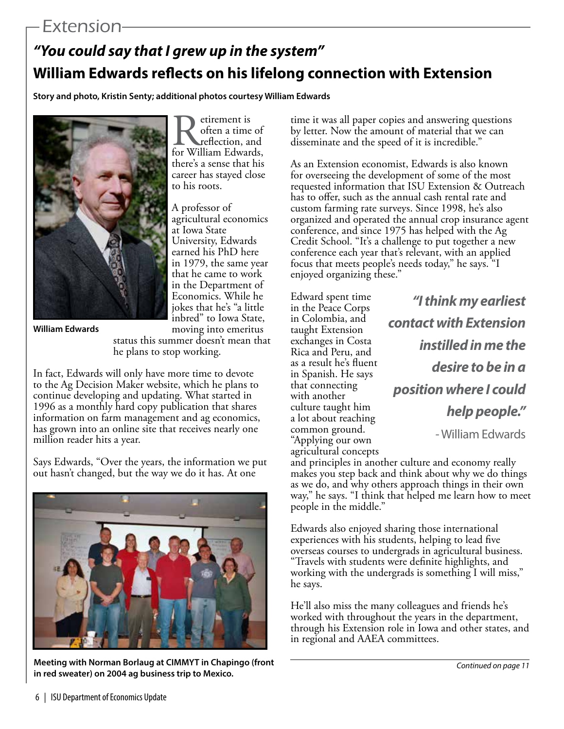### Extension

# *"You could say that I grew up in the system"* **William Edwards reflects on his lifelong connection with Extension**

**Story and photo, Kristin Senty; additional photos courtesy William Edwards**



Retirement is<br>
often a time of<br>
for William Edwards, often a time of reflection, and there's a sense that his career has stayed close to his roots.

A professor of agricultural economics at Iowa State University, Edwards earned his PhD here in 1979, the same year that he came to work in the Department of Economics. While he jokes that he's "a little inbred" to Iowa State, moving into emeritus

**William Edwards**

status this summer doesn't mean that he plans to stop working.

In fact, Edwards will only have more time to devote to the Ag Decision Maker website, which he plans to continue developing and updating. What started in 1996 as a monthly hard copy publication that shares information on farm management and ag economics, has grown into an online site that receives nearly one million reader hits a year.

Says Edwards, "Over the years, the information we put out hasn't changed, but the way we do it has. At one



**Meeting with Norman Borlaug at CIMMYT in Chapingo (front in red sweater) on 2004 ag business trip to Mexico.**

time it was all paper copies and answering questions by letter. Now the amount of material that we can disseminate and the speed of it is incredible."

As an Extension economist, Edwards is also known for overseeing the development of some of the most requested information that ISU Extension & Outreach has to offer, such as the annual cash rental rate and custom farming rate surveys. Since 1998, he's also organized and operated the annual crop insurance agent conference, and since 1975 has helped with the Ag Credit School. "It's a challenge to put together a new conference each year that's relevant, with an applied focus that meets people's needs today," he says. "I enjoyed organizing these."

Edward spent time in the Peace Corps in Colombia, and taught Extension exchanges in Costa Rica and Peru, and as a result he's fluent in Spanish. He says that connecting with another culture taught him a lot about reaching common ground. "Applying our own agricultural concepts

*"I think my earliest contact with Extension instilled in me the desire to be in a position where I could help people."* 

- William Edwards

and principles in another culture and economy really makes you step back and think about why we do things as we do, and why others approach things in their own way," he says. "I think that helped me learn how to meet people in the middle."

Edwards also enjoyed sharing those international experiences with his students, helping to lead five overseas courses to undergrads in agricultural business. "Travels with students were definite highlights, and working with the undergrads is something I will miss," he says.

He'll also miss the many colleagues and friends he's worked with throughout the years in the department, through his Extension role in Iowa and other states, and in regional and AAEA committees.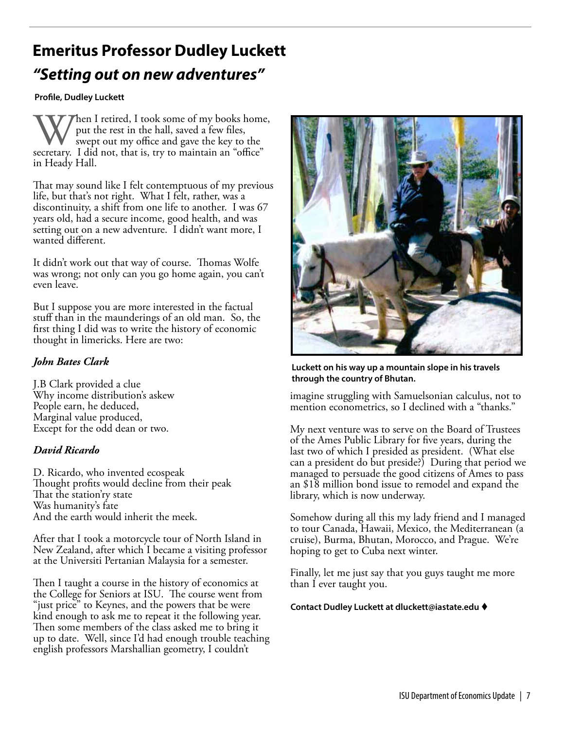# **Emeritus Professor Dudley Luckett**  *"Setting out on new adventures"*

#### **Profile, Dudley Luckett**

When I retired, I took some of my books home, put the rest in the hall, saved a few files, swept out my office and gave the key to the secretary. I did not, that is, try to maintain an "office" put the rest in the hall, saved a few files, swept out my office and gave the key to the in Heady Hall.

That may sound like I felt contemptuous of my previous life, but that's not right. What I felt, rather, was a discontinuity, a shift from one life to another. I was 67 years old, had a secure income, good health, and was setting out on a new adventure. I didn't want more, I wanted different.

It didn't work out that way of course. Thomas Wolfe was wrong; not only can you go home again, you can't even leave.

But I suppose you are more interested in the factual stuff than in the maunderings of an old man. So, the first thing I did was to write the history of economic thought in limericks. Here are two:

#### *John Bates Clark*

J.B Clark provided a clue Why income distribution's askew People earn, he deduced, Marginal value produced, Except for the odd dean or two.

#### *David Ricardo*

D. Ricardo, who invented ecospeak Thought profits would decline from their peak That the station'ry state Was humanity's fate And the earth would inherit the meek.

After that I took a motorcycle tour of North Island in New Zealand, after which I became a visiting professor at the Universiti Pertanian Malaysia for a semester.

Then I taught a course in the history of economics at the College for Seniors at ISU. The course went from "just price" to Keynes, and the powers that be were kind enough to ask me to repeat it the following year. Then some members of the class asked me to bring it up to date. Well, since I'd had enough trouble teaching english professors Marshallian geometry, I couldn't



#### **Luckett on his way up a mountain slope in his travels through the country of Bhutan.**

imagine struggling with Samuelsonian calculus, not to mention econometrics, so I declined with a "thanks."

My next venture was to serve on the Board of Trustees of the Ames Public Library for five years, during the last two of which I presided as president. (What else can a president do but preside?) During that period we managed to persuade the good citizens of Ames to pass an \$18 million bond issue to remodel and expand the library, which is now underway.

Somehow during all this my lady friend and I managed to tour Canada, Hawaii, Mexico, the Mediterranean (a cruise), Burma, Bhutan, Morocco, and Prague. We're hoping to get to Cuba next winter.

Finally, let me just say that you guys taught me more than I ever taught you.

**Contact Dudley Luckett at dluckett@iastate.edu** t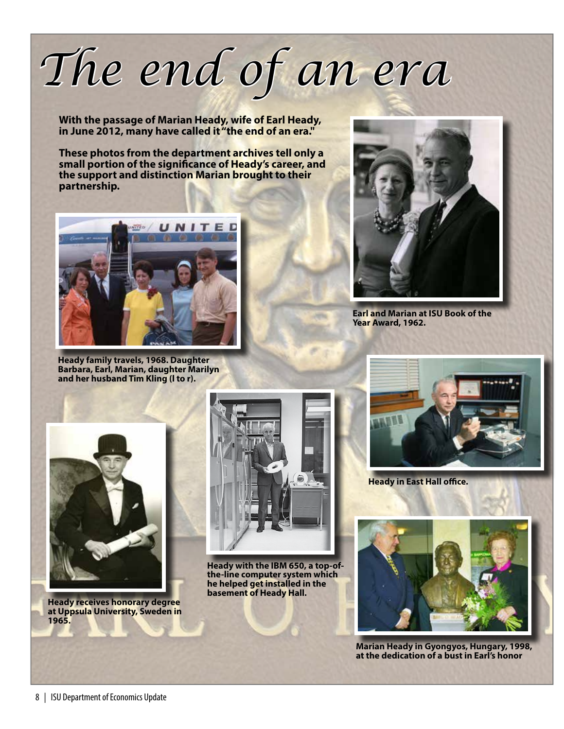# *The end of an era*

**With the passage of Marian Heady, wife of Earl Heady, in June 2012, many have called it "the end of an era."** 

**These photos from the department archives tell only a small portion of the significance of Heady's career, and the support and distinction Marian brought to their partnership.** 



**Heady family travels, 1968. Daughter Barbara, Earl, Marian, daughter Marilyn and her husband Tim Kling (l to r).**



**Earl and Marian at ISU Book of the Year Award, 1962.**



**Heady receives honorary degree at Uppsula University, Sweden in 1965.** 



**Heady with the IBM 650, a top-ofthe-line computer system which he helped get installed in the basement of Heady Hall.**



**Heady in East Hall office.**



**Marian Heady in Gyongyos, Hungary, 1998, at the dedication of a bust in Earl's honor**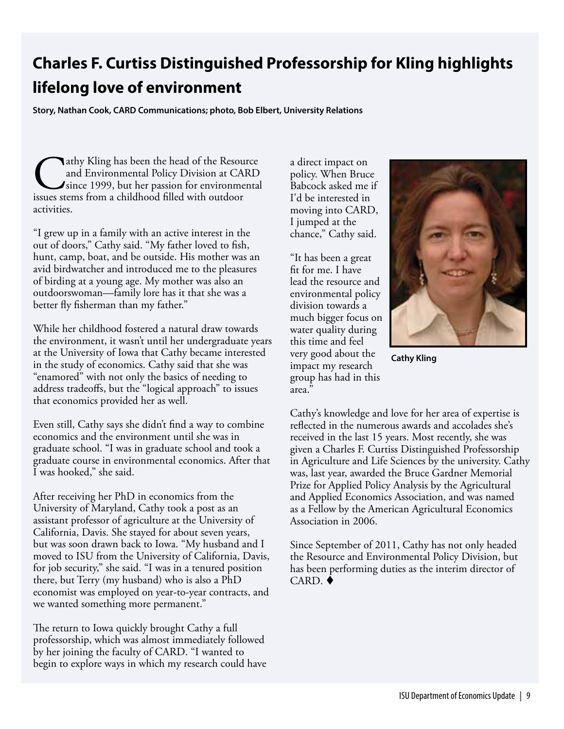# **Charles F. Curtiss Distinguished Professorship for Kling highlights lifelong love of environment**

 **Story, Nathan Cook, CARD Communications; photo, Bob Elbert, University Relations**

**Nathy Kling has been the head of the Resource** and Environmental Policy Division at CARD since 1999, but her passion for environmental issues stems from a childhood filled with outdoor activities.

"I grew up in a family with an active interest in the out of doors," Cathy said. "My father loved to fish, hunt, camp, boat, and be outside. His mother was an avid birdwatcher and introduced me to the pleasures of birding at a young age. My mother was also an outdoorswoman—family lore has it that she was a better fly fisherman than my father."

While her childhood fostered a natural draw towards the environment, it wasn't until her undergraduate years at the University of Iowa that Cathy became interested in the study of economics. Cathy said that she was "enamored" with not only the basics of needing to address tradeoffs, but the "logical approach" to issues that economics provided her as well.

Even still, Cathy says she didn't find a way to combine economics and the environment until she was in graduate school. "I was in graduate school and took a graduate course in environmental economics. After that I was hooked," she said.

After receiving her PhD in economics from the University of Maryland, Cathy took a post as an assistant professor of agriculture at the University of California, Davis. She stayed for about seven years, but was soon drawn back to Iowa. "My husband and I moved to ISU from the University of California, Davis, for job security," she said. "I was in a tenured position there, but Terry (my husband) who is also a PhD economist was employed on year-to-year contracts, and we wanted something more permanent."

The return to Iowa quickly brought Cathy a full professorship, which was almost immediately followed by her joining the faculty of CARD. "I wanted to begin to explore ways in which my research could have a direct impact on policy. When Bruce Babcock asked me if I'd be interested in moving into CARD, I jumped at the chance," Cathy said.

"It has been a great fit for me. I have lead the resource and environmental policy division towards a much bigger focus on water quality during this time and feel very good about the impact my research group has had in this area."



**Cathy Kling**

Cathy's knowledge and love for her area of expertise is reflected in the numerous awards and accolades she's received in the last 15 years. Most recently, she was given a Charles F. Curtiss Distinguished Professorship in Agriculture and Life Sciences by the university. Cathy was, last year, awarded the Bruce Gardner Memorial Prize for Applied Policy Analysis by the Agricultural and Applied Economics Association, and was named as a Fellow by the American Agricultural Economics Association in 2006.

Since September of 2011, Cathy has not only headed the Resource and Environmental Policy Division, but has been performing duties as the interim director of  $CARD.$   $\triangle$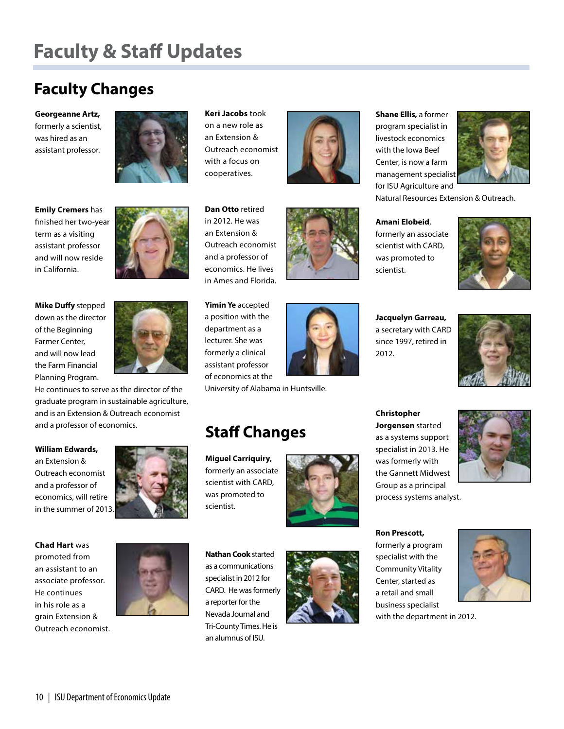# **Faculty & Staff Updates**

# **Faculty Changes**

**Georgeanne Artz,**  formerly a scientist, was hired as an assistant professor.



**Emily Cremers** has finished her two-year term as a visiting assistant professor and will now reside in California.

**Mike Duffy** stepped down as the director of the Beginning Farmer Center, and will now lead the Farm Financial Planning Program.

He continues to serve as the director of the graduate program in sustainable agriculture, and is an Extension & Outreach economist and a professor of economics.

#### **William Edwards,**

an Extension & Outreach economist and a professor of economics, will retire in the summer of 2013.



**Chad Hart** was promoted from an assistant to an associate professor. He continues in his role as a grain Extension & Outreach economist.



**Keri Jacobs** took on a new role as an Extension & Outreach economist with a focus on cooperatives.

**Dan Otto** retired in 2012. He was an Extension & Outreach economist and a professor of economics. He lives in Ames and Florida.

**Yimin Ye** accepted a position with the department as a lecturer. She was formerly a clinical assistant professor of economics at the

University of Alabama in Huntsville.

**Staff Changes**

**Miguel Carriquiry,** formerly an associate scientist with CARD, was promoted to

scientist.



**Shane Ellis,** a former program specialist in livestock economics with the Iowa Beef Center, is now a farm management specialist for ISU Agriculture and



Natural Resources Extension & Outreach.

**Amani Elobeid**, formerly an associate scientist with CARD, was promoted to scientist.

**Jacquelyn Garreau,**  a secretary with CARD since 1997, retired in 2012.

**Christopher Jorgensen** started as a systems support specialist in 2013. He was formerly with the Gannett Midwest Group as a principal process systems analyst.



**Nathan Cook** started as a communications specialist in 2012 for CARD. He was formerly a reporter for the Nevada Journal and Tri-County Times. He is an alumnus of ISU.



**Ron Prescott,**  formerly a program specialist with the Community Vitality Center, started as a retail and small business specialist





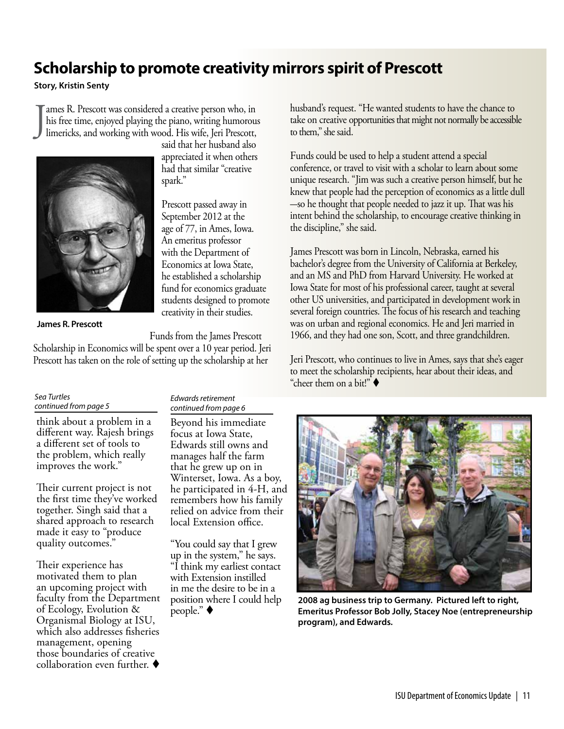### **Scholarship to promote creativity mirrors spirit of Prescott**

**Story, Kristin Senty**

J ames R. Prescott was considered a creative person who, in his free time, enjoyed playing the piano, writing humorous limericks, and working with wood. His wife, Jeri Prescott,



said that her husband also appreciated it when others had that similar "creative spark."

Prescott passed away in September 2012 at the age of 77, in Ames, Iowa. An emeritus professor with the Department of Economics at Iowa State, he established a scholarship fund for economics graduate students designed to promote creativity in their studies.

**James R. Prescott**

Funds from the James Prescott

Scholarship in Economics will be spent over a 10 year period. Jeri Prescott has taken on the role of setting up the scholarship at her

#### *Sea Turtles continued from page 5*

think about a problem in a different way. Rajesh brings a different set of tools to the problem, which really improves the work."

Their current project is not the first time they've worked together. Singh said that a shared approach to research made it easy to "produce quality outcomes."

Their experience has motivated them to plan an upcoming project with faculty from the Department of Ecology, Evolution & Organismal Biology at ISU, which also addresses fisheries management, opening those boundaries of creative collaboration even further.  $\blacklozenge$ 

#### *Edwards retirement continued from page 6*

Beyond his immediate focus at Iowa State, Edwards still owns and manages half the farm that he grew up on in Winterset, Iowa. As a boy, he participated in 4-H, and remembers how his family relied on advice from their local Extension office.

"You could say that I grew up in the system," he says. "I think my earliest contact with Extension instilled in me the desire to be in a position where I could help husband's request. "He wanted students to have the chance to take on creative opportunities that might not normally be accessible to them," she said.

Funds could be used to help a student attend a special conference, or travel to visit with a scholar to learn about some unique research. "Jim was such a creative person himself, but he knew that people had the perception of economics as a little dull -so he thought that people needed to jazz it up. That was his intent behind the scholarship, to encourage creative thinking in the discipline," she said.

James Prescott was born in Lincoln, Nebraska, earned his bachelor's degree from the University of California at Berkeley, and an MS and PhD from Harvard University. He worked at Iowa State for most of his professional career, taught at several other US universities, and participated in development work in several foreign countries. The focus of his research and teaching was on urban and regional economics. He and Jeri married in 1966, and they had one son, Scott, and three grandchildren.

Jeri Prescott, who continues to live in Ames, says that she's eager to meet the scholarship recipients, hear about their ideas, and "cheer them on a bit!"  $\blacklozenge$ 



position where I could help **2008 ag business trip to Germany. Pictured left to right,**<br>people." ♦ Emeritus Professor Bob Jolly, Stacey Noe (entrepreneurship **program), and Edwards.**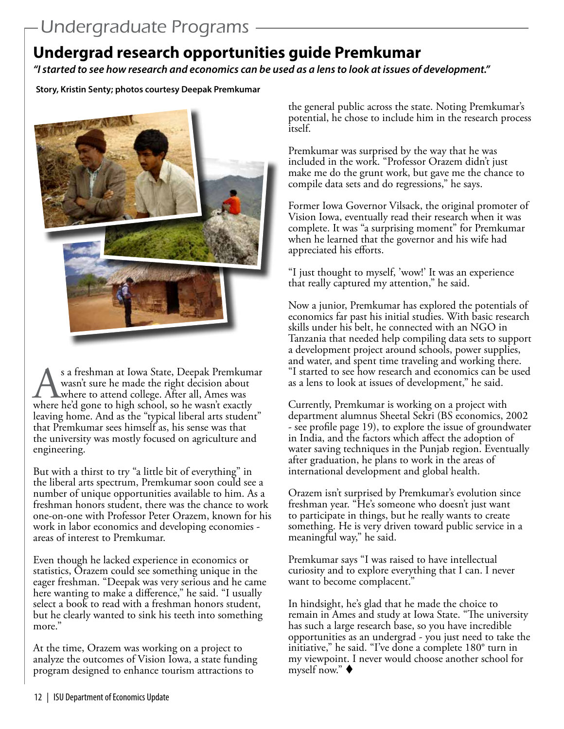# **Undergrad research opportunities guide Premkumar**

*"I started to see how research and economics can be used as a lens to look at issues of development."*

**Story, Kristin Senty; photos courtesy Deepak Premkumar**



s a freshman at Iowa State, Deepak Premkumar<br>
wasn't sure he made the right decision about<br>
where to attend college. After all, Ames was<br>
where he'd gone to high school, so he wasn't exactly wasn't sure he made the right decision about where to attend college. After all, Ames was leaving home. And as the "typical liberal arts student" that Premkumar sees himself as, his sense was that the university was mostly focused on agriculture and engineering.

But with a thirst to try "a little bit of everything" in the liberal arts spectrum, Premkumar soon could see a number of unique opportunities available to him. As a freshman honors student, there was the chance to work one-on-one with Professor Peter Orazem, known for his work in labor economics and developing economies areas of interest to Premkumar.

Even though he lacked experience in economics or statistics, Orazem could see something unique in the eager freshman. "Deepak was very serious and he came here wanting to make a difference," he said. "I usually select a book to read with a freshman honors student, but he clearly wanted to sink his teeth into something more."

At the time, Orazem was working on a project to analyze the outcomes of Vision Iowa, a state funding program designed to enhance tourism attractions to

the general public across the state. Noting Premkumar's potential, he chose to include him in the research process itself.

Premkumar was surprised by the way that he was included in the work. "Professor Orazem didn't just make me do the grunt work, but gave me the chance to compile data sets and do regressions," he says.

Former Iowa Governor Vilsack, the original promoter of Vision Iowa, eventually read their research when it was complete. It was "a surprising moment" for Premkumar when he learned that the governor and his wife had appreciated his efforts.

"I just thought to myself, 'wow!' It was an experience that really captured my attention," he said.

Now a junior, Premkumar has explored the potentials of economics far past his initial studies. With basic research skills under his belt, he connected with an NGO in Tanzania that needed help compiling data sets to support a development project around schools, power supplies, and water, and spent time traveling and working there. "I started to see how research and economics can be used as a lens to look at issues of development," he said.

Currently, Premkumar is working on a project with department alumnus Sheetal Sekri (BS economics, 2002 - see profile page 19), to explore the issue of groundwater in India, and the factors which affect the adoption of water saving techniques in the Punjab region. Eventually after graduation, he plans to work in the areas of international development and global health.

Orazem isn't surprised by Premkumar's evolution since freshman year. "He's someone who doesn't just want to participate in things, but he really wants to create something. He is very driven toward public service in a meaningful way," he said.

Premkumar says "I was raised to have intellectual curiosity and to explore everything that I can. I never want to become complacent."

In hindsight, he's glad that he made the choice to remain in Ames and study at Iowa State. "The university has such a large research base, so you have incredible opportunities as an undergrad - you just need to take the initiative," he said. "I've done a complete 180° turn in my viewpoint. I never would choose another school for myself now." $\blacklozenge$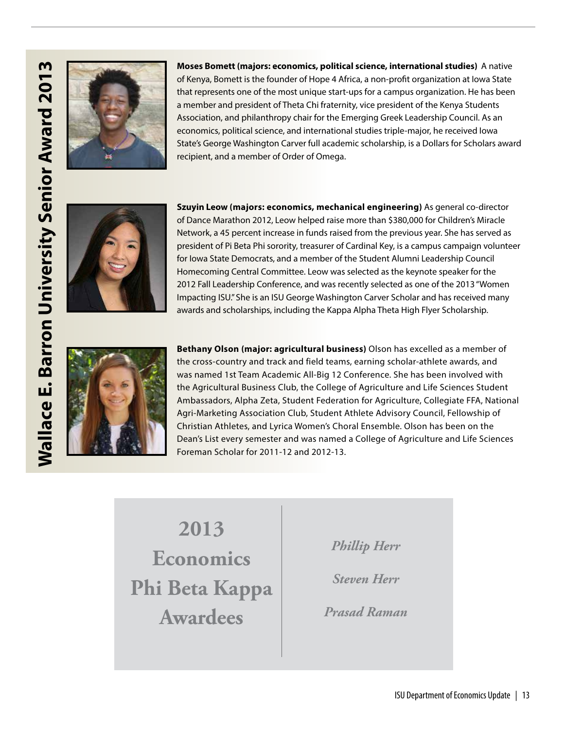

**Moses Bomett (majors: economics, political science, international studies)** A native of Kenya, Bomett is the founder of Hope 4 Africa, a non-profit organization at Iowa State that represents one of the most unique start-ups for a campus organization. He has been a member and president of Theta Chi fraternity, vice president of the Kenya Students Association, and philanthropy chair for the Emerging Greek Leadership Council. As an economics, political science, and international studies triple-major, he received Iowa State's George Washington Carver full academic scholarship, is a Dollars for Scholars award recipient, and a member of Order of Omega.



**Szuyin Leow (majors: economics, mechanical engineering)** As general co-director of Dance Marathon 2012, Leow helped raise more than \$380,000 for Children's Miracle Network, a 45 percent increase in funds raised from the previous year. She has served as president of Pi Beta Phi sorority, treasurer of Cardinal Key, is a campus campaign volunteer for Iowa State Democrats, and a member of the Student Alumni Leadership Council Homecoming Central Committee. Leow was selected as the keynote speaker for the 2012 Fall Leadership Conference, and was recently selected as one of the 2013 "Women Impacting ISU." She is an ISU George Washington Carver Scholar and has received many awards and scholarships, including the Kappa Alpha Theta High Flyer Scholarship.



**Bethany Olson (major: agricultural business)** Olson has excelled as a member of the cross-country and track and field teams, earning scholar-athlete awards, and was named 1st Team Academic All-Big 12 Conference. She has been involved with the Agricultural Business Club, the College of Agriculture and Life Sciences Student Ambassadors, Alpha Zeta, Student Federation for Agriculture, Collegiate FFA, National Agri-Marketing Association Club, Student Athlete Advisory Council, Fellowship of Christian Athletes, and Lyrica Women's Choral Ensemble. Olson has been on the Dean's List every semester and was named a College of Agriculture and Life Sciences Foreman Scholar for 2011-12 and 2012-13.

**2013 Economics Phi Beta Kappa Awardees** 

*Phillip Herr*

*Steven Herr*

*Prasad Raman*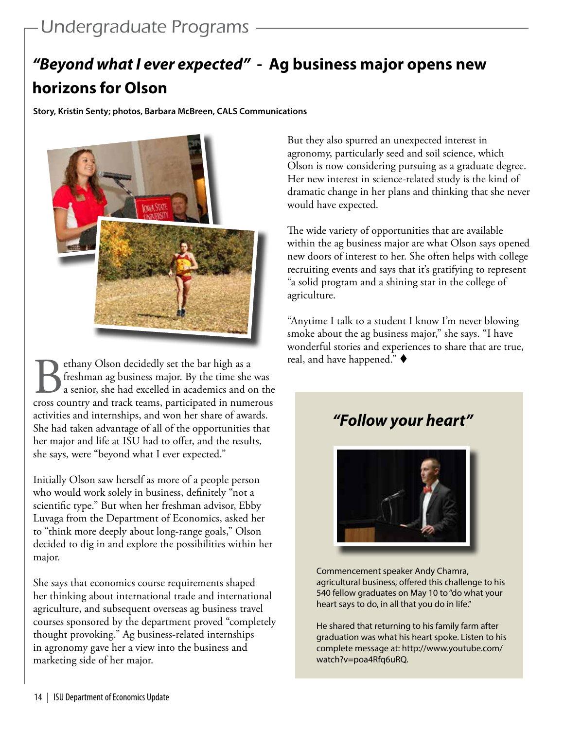# *"Beyond what I ever expected"* **- Ag business major opens new horizons for Olson**

**Story, Kristin Senty; photos, Barbara McBreen, CALS Communications**



**Bethany Olson decidedly set the bar high as a** freshman ag business major. By the time she was a senior, she had excelled in academics and on the cross country and track teams, participated in numerous freshman ag business major. By the time she was a senior, she had excelled in academics and on the activities and internships, and won her share of awards. She had taken advantage of all of the opportunities that her major and life at ISU had to offer, and the results, she says, were "beyond what I ever expected."

Initially Olson saw herself as more of a people person who would work solely in business, definitely "not a scientific type." But when her freshman advisor, Ebby Luvaga from the Department of Economics, asked her to "think more deeply about long-range goals," Olson decided to dig in and explore the possibilities within her major.

She says that economics course requirements shaped her thinking about international trade and international agriculture, and subsequent overseas ag business travel courses sponsored by the department proved "completely thought provoking." Ag business-related internships in agronomy gave her a view into the business and marketing side of her major.

But they also spurred an unexpected interest in agronomy, particularly seed and soil science, which Olson is now considering pursuing as a graduate degree. Her new interest in science-related study is the kind of dramatic change in her plans and thinking that she never would have expected.

The wide variety of opportunities that are available within the ag business major are what Olson says opened new doors of interest to her. She often helps with college recruiting events and says that it's gratifying to represent "a solid program and a shining star in the college of agriculture.

"Anytime I talk to a student I know I'm never blowing smoke about the ag business major," she says. "I have wonderful stories and experiences to share that are true, real, and have happened."  $\blacklozenge$ 

# *"Follow your heart"*



Commencement speaker Andy Chamra, agricultural business, offered this challenge to his 540 fellow graduates on May 10 to "do what your heart says to do, in all that you do in life."

He shared that returning to his family farm after graduation was what his heart spoke. Listen to his complete message at: http://www.youtube.com/ watch?v=poa4Rfq6uRQ.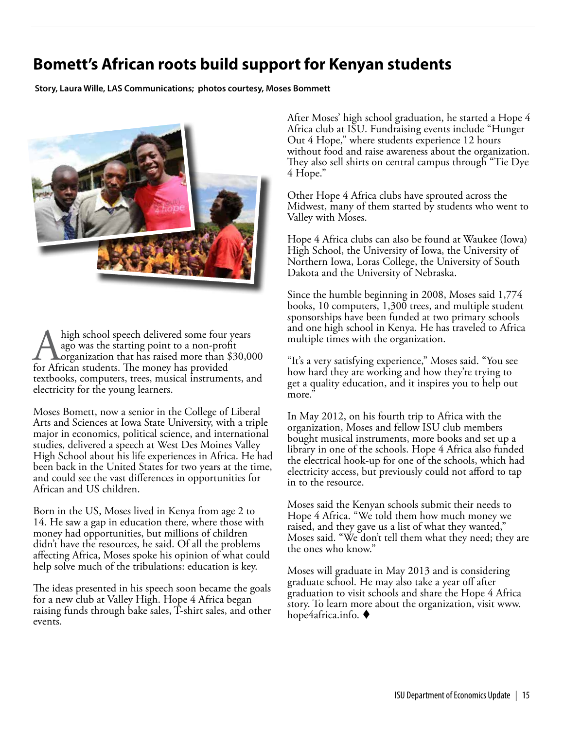### **Bomett's African roots build support for Kenyan students**

**Story, Laura Wille, LAS Communications; photos courtesy, Moses Bommett**



high school speech delivered some four years ago was the starting point to a non-profit organization that has raised more than \$30,000 for African students. The money has provided textbooks, computers, trees, musical instruments, and electricity for the young learners.

Moses Bomett, now a senior in the College of Liberal Arts and Sciences at Iowa State University, with a triple major in economics, political science, and international studies, delivered a speech at West Des Moines Valley High School about his life experiences in Africa. He had been back in the United States for two years at the time, and could see the vast differences in opportunities for African and US children.

Born in the US, Moses lived in Kenya from age 2 to 14. He saw a gap in education there, where those with money had opportunities, but millions of children didn't have the resources, he said. Of all the problems affecting Africa, Moses spoke his opinion of what could help solve much of the tribulations: education is key.

The ideas presented in his speech soon became the goals for a new club at Valley High. Hope 4 Africa began raising funds through bake sales, T-shirt sales, and other events.

After Moses' high school graduation, he started a Hope 4 Africa club at ISU. Fundraising events include "Hunger Out 4 Hope," where students experience 12 hours without food and raise awareness about the organization. They also sell shirts on central campus through "Tie Dye 4 Hope."

Other Hope 4 Africa clubs have sprouted across the Midwest, many of them started by students who went to Valley with Moses.

Hope 4 Africa clubs can also be found at Waukee (Iowa) High School, the University of Iowa, the University of Northern Iowa, Loras College, the University of South Dakota and the University of Nebraska.

Since the humble beginning in 2008, Moses said 1,774 books, 10 computers, 1,300 trees, and multiple student sponsorships have been funded at two primary schools and one high school in Kenya. He has traveled to Africa multiple times with the organization.

"It's a very satisfying experience," Moses said. "You see how hard they are working and how they're trying to get a quality education, and it inspires you to help out more.

In May 2012, on his fourth trip to Africa with the organization, Moses and fellow ISU club members bought musical instruments, more books and set up a library in one of the schools. Hope 4 Africa also funded the electrical hook-up for one of the schools, which had electricity access, but previously could not afford to tap in to the resource.

Moses said the Kenyan schools submit their needs to Hope 4 Africa. "We told them how much money we raised, and they gave us a list of what they wanted," Moses said. "We don't tell them what they need; they are the ones who know."

Moses will graduate in May 2013 and is considering graduate school. He may also take a year off after graduation to visit schools and share the Hope 4 Africa story. To learn more about the organization, visit www. hope4africa.info.  $\blacklozenge$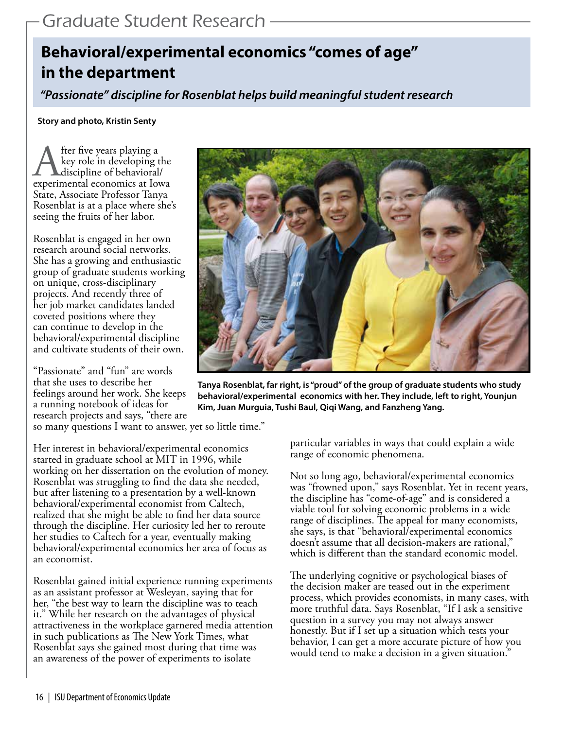# **Behavioral/experimental economics "comes of age" in the department**

*"Passionate" discipline for Rosenblat helps build meaningful student research*

**Story and photo, Kristin Senty**

After five years playing a<br>
key role in developing the<br>
experimental economics at Iowa key role in developing the discipline of behavioral/ State, Associate Professor Tanya Rosenblat is at a place where she's seeing the fruits of her labor.

Rosenblat is engaged in her own research around social networks. She has a growing and enthusiastic group of graduate students working on unique, cross-disciplinary projects. And recently three of her job market candidates landed coveted positions where they can continue to develop in the behavioral/experimental discipline and cultivate students of their own.

"Passionate" and "fun" are words that she uses to describe her feelings around her work. She keeps a running notebook of ideas for research projects and says, "there are so many questions I want to answer, yet so little time."

Her interest in behavioral/experimental economics started in graduate school at MIT in 1996, while working on her dissertation on the evolution of money. Rosenblat was struggling to find the data she needed, but after listening to a presentation by a well-known behavioral/experimental economist from Caltech, realized that she might be able to find her data source through the discipline. Her curiosity led her to reroute her studies to Caltech for a year, eventually making behavioral/experimental economics her area of focus as an economist.

Rosenblat gained initial experience running experiments as an assistant professor at Wesleyan, saying that for her, "the best way to learn the discipline was to teach it." While her research on the advantages of physical attractiveness in the workplace garnered media attention in such publications as The New York Times, what Rosenblat says she gained most during that time was an awareness of the power of experiments to isolate



**Tanya Rosenblat, far right, is "proud" of the group of graduate students who study behavioral/experimental economics with her. They include, left to right, Younjun Kim, Juan Murguia, Tushi Baul, Qiqi Wang, and Fanzheng Yang.**

particular variables in ways that could explain a wide range of economic phenomena.

Not so long ago, behavioral/experimental economics was "frowned upon," says Rosenblat. Yet in recent years, the discipline has "come-of-age" and is considered a viable tool for solving economic problems in a wide range of disciplines. The appeal for many economists, she says, is that "behavioral/experimental economics doesn't assume that all decision-makers are rational," which is different than the standard economic model.

The underlying cognitive or psychological biases of the decision maker are teased out in the experiment process, which provides economists, in many cases, with more truthful data. Says Rosenblat, "If I ask a sensitive question in a survey you may not always answer honestly. But if I set up a situation which tests your behavior, I can get a more accurate picture of how you would tend to make a decision in a given situation."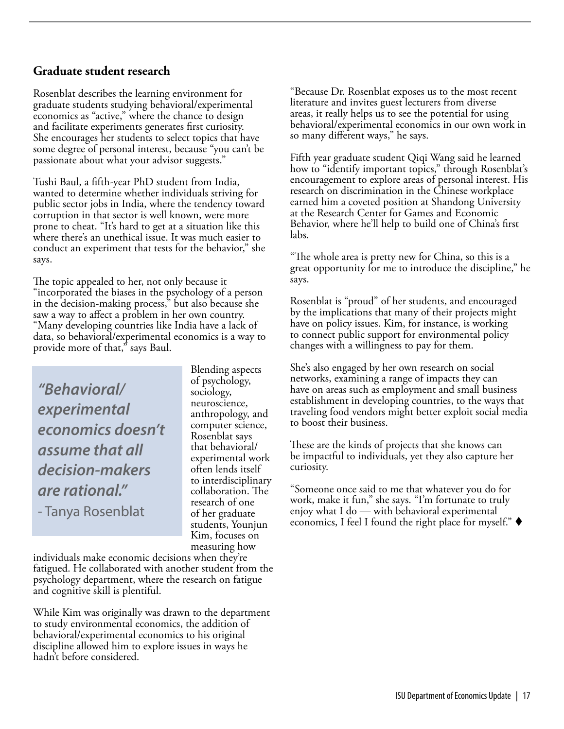#### **Graduate student research**

Rosenblat describes the learning environment for graduate students studying behavioral/experimental economics as "active," where the chance to design and facilitate experiments generates first curiosity. She encourages her students to select topics that have some degree of personal interest, because "you can't be passionate about what your advisor suggests."

Tushi Baul, a fifth-year PhD student from India, wanted to determine whether individuals striving for public sector jobs in India, where the tendency toward corruption in that sector is well known, were more prone to cheat. "It's hard to get at a situation like this where there's an unethical issue. It was much easier to conduct an experiment that tests for the behavior," she says.

The topic appealed to her, not only because it "incorporated the biases in the psychology of a person in the decision-making process," but also because she saw a way to affect a problem in her own country. "Many developing countries like India have a lack of data, so behavioral/experimental economics is a way to provide more of that," says Baul.

*"Behavioral/ experimental economics doesn't assume that all decision-makers are rational."*  - Tanya Rosenblat

Blending aspects of psychology, sociology, neuroscience, anthropology, and computer science, Rosenblat says that behavioral/ experimental work often lends itself to interdisciplinary collaboration. The research of one of her graduate students, Younjun Kim, focuses on measuring how

individuals make economic decisions when they're fatigued. He collaborated with another student from the psychology department, where the research on fatigue and cognitive skill is plentiful.

While Kim was originally was drawn to the department to study environmental economics, the addition of behavioral/experimental economics to his original discipline allowed him to explore issues in ways he hadn't before considered.

"Because Dr. Rosenblat exposes us to the most recent literature and invites guest lecturers from diverse areas, it really helps us to see the potential for using behavioral/experimental economics in our own work in so many different ways," he says.

Fifth year graduate student Qiqi Wang said he learned how to "identify important topics," through Rosenblat's encouragement to explore areas of personal interest. His research on discrimination in the Chinese workplace earned him a coveted position at Shandong University at the Research Center for Games and Economic Behavior, where he'll help to build one of China's first labs.

"The whole area is pretty new for China, so this is a great opportunity for me to introduce the discipline," he says.

Rosenblat is "proud" of her students, and encouraged by the implications that many of their projects might have on policy issues. Kim, for instance, is working to connect public support for environmental policy changes with a willingness to pay for them.

She's also engaged by her own research on social networks, examining a range of impacts they can have on areas such as employment and small business establishment in developing countries, to the ways that traveling food vendors might better exploit social media to boost their business.

These are the kinds of projects that she knows can be impactful to individuals, yet they also capture her curiosity.

"Someone once said to me that whatever you do for work, make it fun," she says. "I'm fortunate to truly enjoy what I do — with behavioral experimental economics, I feel I found the right place for myself."  $\blacklozenge$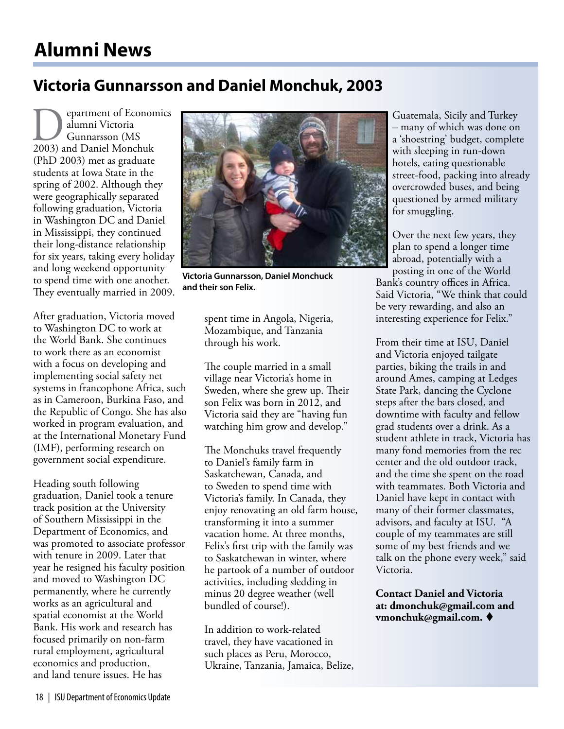# **Alumni News**

### **Victoria Gunnarsson and Daniel Monchuk, 2003**

**Department of Economics<br>
alumni Victoria<br>
2003) and Daniel Monchuk** alumni Victoria Gunnarsson (MS (PhD 2003) met as graduate students at Iowa State in the spring of 2002. Although they were geographically separated following graduation, Victoria in Washington DC and Daniel in Mississippi, they continued their long-distance relationship for six years, taking every holiday and long weekend opportunity to spend time with one another. They eventually married in 2009.

After graduation, Victoria moved to Washington DC to work at the World Bank. She continues to work there as an economist with a focus on developing and implementing social safety net systems in francophone Africa, such as in Cameroon, Burkina Faso, and the Republic of Congo. She has also worked in program evaluation, and at the International Monetary Fund (IMF), performing research on government social expenditure.

Heading south following graduation, Daniel took a tenure track position at the University of Southern Mississippi in the Department of Economics, and was promoted to associate professor with tenure in 2009. Later that year he resigned his faculty position and moved to Washington DC permanently, where he currently works as an agricultural and spatial economist at the World Bank. His work and research has focused primarily on non-farm rural employment, agricultural economics and production, and land tenure issues. He has

![](_page_17_Picture_5.jpeg)

**Victoria Gunnarsson, Daniel Monchuck and their son Felix.**

spent time in Angola, Nigeria, Mozambique, and Tanzania through his work.

The couple married in a small village near Victoria's home in Sweden, where she grew up. Their son Felix was born in 2012, and Victoria said they are "having fun watching him grow and develop."

The Monchuks travel frequently to Daniel's family farm in Saskatchewan, Canada, and to Sweden to spend time with Victoria's family. In Canada, they enjoy renovating an old farm house, transforming it into a summer vacation home. At three months, Felix's first trip with the family was to Saskatchewan in winter, where he partook of a number of outdoor activities, including sledding in minus 20 degree weather (well bundled of course!).

In addition to work-related travel, they have vacationed in such places as Peru, Morocco, Ukraine, Tanzania, Jamaica, Belize, Guatemala, Sicily and Turkey – many of which was done on a 'shoestring' budget, complete with sleeping in run-down hotels, eating questionable street-food, packing into already overcrowded buses, and being questioned by armed military for smuggling.

Over the next few years, they plan to spend a longer time abroad, potentially with a posting in one of the World

Bank's country offices in Africa. Said Victoria, "We think that could be very rewarding, and also an interesting experience for Felix."

From their time at ISU, Daniel and Victoria enjoyed tailgate parties, biking the trails in and around Ames, camping at Ledges State Park, dancing the Cyclone steps after the bars closed, and downtime with faculty and fellow grad students over a drink. As a student athlete in track, Victoria has many fond memories from the rec center and the old outdoor track, and the time she spent on the road with teammates. Both Victoria and Daniel have kept in contact with many of their former classmates, advisors, and faculty at ISU. "A couple of my teammates are still some of my best friends and we talk on the phone every week," said Victoria.

**Contact Daniel and Victoria at: dmonchuk@gmail.com and vmonchuk@gmail.com.** ♦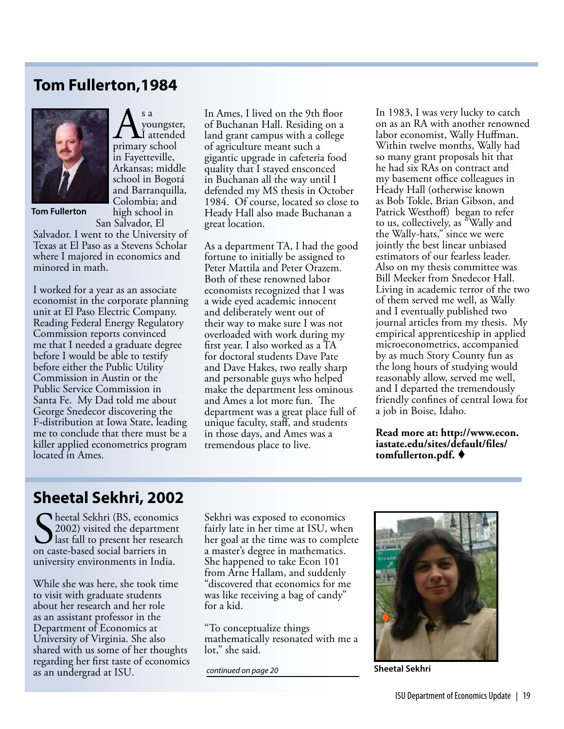### **Tom Fullerton,1984**

 $\displaystyle\bigwedge_{\text{pimary school}}^{\text{s a}}$ youngster, I attended

in Fayetteville, Arkansas; middle school in Bogotá and Barranquilla, Colombia; and high school in

![](_page_18_Picture_1.jpeg)

**Tom Fullerton**

San Salvador, El Salvador. I went to the University of Texas at El Paso as a Stevens Scholar where I majored in economics and minored in math.

I worked for a year as an associate economist in the corporate planning unit at El Paso Electric Company. Reading Federal Energy Regulatory Commission reports convinced me that I needed a graduate degree before I would be able to testify before either the Public Utility Commission in Austin or the Public Service Commission in Santa Fe. My Dad told me about George Snedecor discovering the F-distribution at Iowa State, leading me to conclude that there must be a killer applied econometrics program located in Ames.

In Ames, I lived on the 9th floor of Buchanan Hall. Residing on a land grant campus with a college of agriculture meant such a gigantic upgrade in cafeteria food quality that I stayed ensconced in Buchanan all the way until I defended my MS thesis in October 1984. Of course, located so close to Heady Hall also made Buchanan a great location.

As a department TA, I had the good fortune to initially be assigned to Peter Mattila and Peter Orazem. Both of these renowned labor economists recognized that I was a wide eyed academic innocent and deliberately went out of their way to make sure I was not overloaded with work during my first year. I also worked as a TA for doctoral students Dave Pate and Dave Hakes, two really sharp and personable guys who helped make the department less ominous and Ames a lot more fun. The department was a great place full of unique faculty, staff, and students in those days, and Ames was a tremendous place to live.

In 1983, I was very lucky to catch on as an RA with another renowned labor economist, Wally Huffman. Within twelve months, Wally had so many grant proposals hit that he had six RAs on contract and my basement office colleagues in Heady Hall (otherwise known as Bob Tokle, Brian Gibson, and Patrick Westhoff) began to refer to us, collectively, as "Wally and the Wally-hats," since we were jointly the best linear unbiased estimators of our fearless leader. Also on my thesis committee was Bill Meeker from Snedecor Hall. Living in academic terror of the two of them served me well, as Wally and I eventually published two journal articles from my thesis. My empirical apprenticeship in applied microeconometrics, accompanied by as much Story County fun as the long hours of studying would reasonably allow, served me well, and I departed the tremendously friendly confines of central Iowa for a job in Boise, Idaho.

**Read more at: http://www.econ. iastate.edu/sites/default/files/** tomfullerton.pdf.  $\blacklozenge$ 

### **Sheetal Sekhri, 2002**

Sekhri (BS, economics<br>
Seconomics 2002) visited the department<br>
on caste-based social barriers in 2002) visited the department last fall to present her research on caste-based social barriers in university environments in India.

While she was here, she took time to visit with graduate students about her research and her role as an assistant professor in the Department of Economics at University of Virginia. She also shared with us some of her thoughts regarding her first taste of economics as an undergrad at ISU.

Sekhri was exposed to economics fairly late in her time at ISU, when her goal at the time was to complete a master's degree in mathematics. She happened to take Econ 101 from Arne Hallam, and suddenly "discovered that economics for me was like receiving a bag of candy" for a kid.

"To conceptualize things mathematically resonated with me a lot," she said.

*continued on page 20*

![](_page_18_Picture_15.jpeg)

**Sheetal Sekhri**